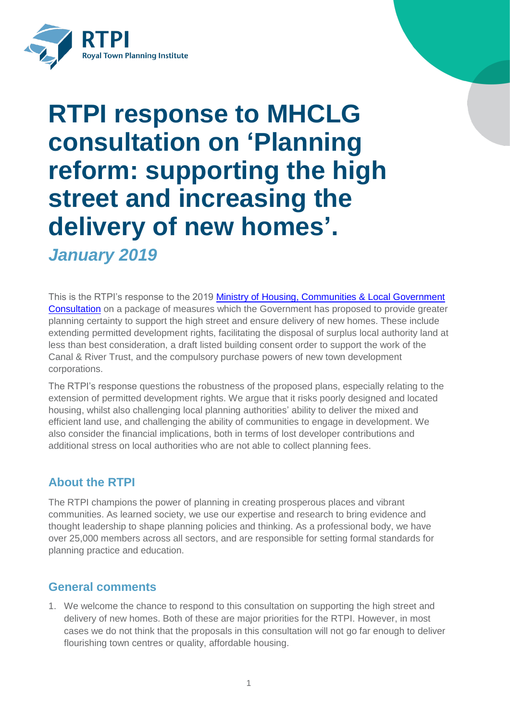

# **RTPI response to MHCLG consultation on 'Planning reform: supporting the high street and increasing the delivery of new homes'.** *January 2019*

This is the RTPI's response to the 2019 Ministry of Housing, Communities & Local Government [Consultation](https://www.gov.uk/government/consultations/planning-reform-supporting-the-high-street-and-increasing-the-delivery-of-new-homes) on a package of measures which the Government has proposed to provide greater planning certainty to support the high street and ensure delivery of new homes. These include extending permitted development rights, facilitating the disposal of surplus local authority land at less than best consideration, a draft listed building consent order to support the work of the Canal & River Trust, and the compulsory purchase powers of new town development corporations.

The RTPI's response questions the robustness of the proposed plans, especially relating to the extension of permitted development rights. We argue that it risks poorly designed and located housing, whilst also challenging local planning authorities' ability to deliver the mixed and efficient land use, and challenging the ability of communities to engage in development. We also consider the financial implications, both in terms of lost developer contributions and additional stress on local authorities who are not able to collect planning fees.

# **About the RTPI**

The RTPI champions the power of planning in creating prosperous places and vibrant communities. As learned society, we use our expertise and research to bring evidence and thought leadership to shape planning policies and thinking. As a professional body, we have over 25,000 members across all sectors, and are responsible for setting formal standards for planning practice and education.

# **General comments**

1. We welcome the chance to respond to this consultation on supporting the high street and delivery of new homes. Both of these are major priorities for the RTPI. However, in most cases we do not think that the proposals in this consultation will not go far enough to deliver flourishing town centres or quality, affordable housing.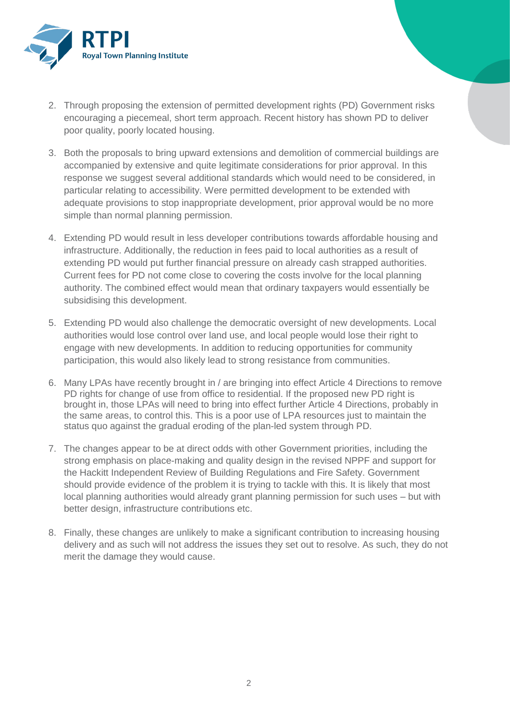

- 2. Through proposing the extension of permitted development rights (PD) Government risks encouraging a piecemeal, short term approach. Recent history has shown PD to deliver poor quality, poorly located housing.
- 3. Both the proposals to bring upward extensions and demolition of commercial buildings are accompanied by extensive and quite legitimate considerations for prior approval. In this response we suggest several additional standards which would need to be considered, in particular relating to accessibility. Were permitted development to be extended with adequate provisions to stop inappropriate development, prior approval would be no more simple than normal planning permission.
- 4. Extending PD would result in less developer contributions towards affordable housing and infrastructure. Additionally, the reduction in fees paid to local authorities as a result of extending PD would put further financial pressure on already cash strapped authorities. Current fees for PD not come close to covering the costs involve for the local planning authority. The combined effect would mean that ordinary taxpayers would essentially be subsidising this development.
- 5. Extending PD would also challenge the democratic oversight of new developments. Local authorities would lose control over land use, and local people would lose their right to engage with new developments. In addition to reducing opportunities for community participation, this would also likely lead to strong resistance from communities.
- 6. Many LPAs have recently brought in / are bringing into effect Article 4 Directions to remove PD rights for change of use from office to residential. If the proposed new PD right is brought in, those LPAs will need to bring into effect further Article 4 Directions, probably in the same areas, to control this. This is a poor use of LPA resources just to maintain the status quo against the gradual eroding of the plan-led system through PD.
- 7. The changes appear to be at direct odds with other Government priorities, including the strong emphasis on place-making and quality design in the revised NPPF and support for the Hackitt Independent Review of Building Regulations and Fire Safety. Government should provide evidence of the problem it is trying to tackle with this. It is likely that most local planning authorities would already grant planning permission for such uses – but with better design, infrastructure contributions etc.
- 8. Finally, these changes are unlikely to make a significant contribution to increasing housing delivery and as such will not address the issues they set out to resolve. As such, they do not merit the damage they would cause.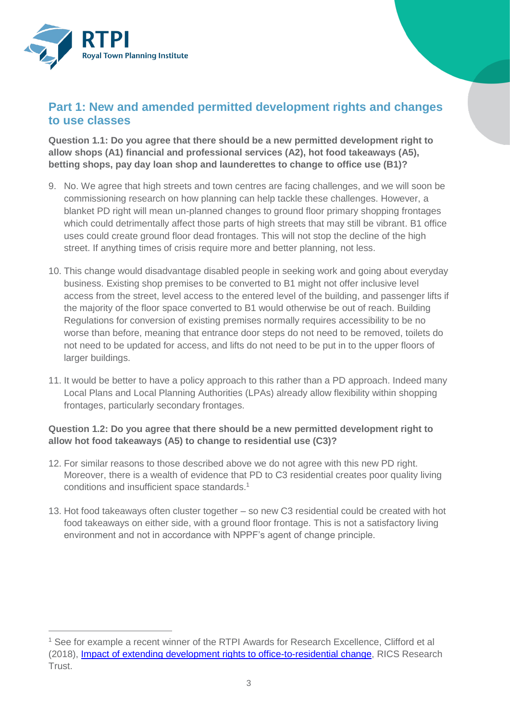

 $\overline{a}$ 

# **Part 1: New and amended permitted development rights and changes to use classes**

**Question 1.1: Do you agree that there should be a new permitted development right to allow shops (A1) financial and professional services (A2), hot food takeaways (A5), betting shops, pay day loan shop and launderettes to change to office use (B1)?**

- 9. No. We agree that high streets and town centres are facing challenges, and we will soon be commissioning research on how planning can help tackle these challenges. However, a blanket PD right will mean un-planned changes to ground floor primary shopping frontages which could detrimentally affect those parts of high streets that may still be vibrant. B1 office uses could create ground floor dead frontages. This will not stop the decline of the high street. If anything times of crisis require more and better planning, not less.
- 10. This change would disadvantage disabled people in seeking work and going about everyday business. Existing shop premises to be converted to B1 might not offer inclusive level access from the street, level access to the entered level of the building, and passenger lifts if the majority of the floor space converted to B1 would otherwise be out of reach. Building Regulations for conversion of existing premises normally requires accessibility to be no worse than before, meaning that entrance door steps do not need to be removed, toilets do not need to be updated for access, and lifts do not need to be put in to the upper floors of larger buildings.
- 11. It would be better to have a policy approach to this rather than a PD approach. Indeed many Local Plans and Local Planning Authorities (LPAs) already allow flexibility within shopping frontages, particularly secondary frontages.

# **Question 1.2: Do you agree that there should be a new permitted development right to allow hot food takeaways (A5) to change to residential use (C3)?**

- 12. For similar reasons to those described above we do not agree with this new PD right. Moreover, there is a wealth of evidence that PD to C3 residential creates poor quality living conditions and insufficient space standards. 1
- 13. Hot food takeaways often cluster together so new C3 residential could be created with hot food takeaways on either side, with a ground floor frontage. This is not a satisfactory living environment and not in accordance with NPPF's agent of change principle.

<sup>&</sup>lt;sup>1</sup> See for example a recent winner of the RTPI Awards for Research Excellence, Clifford et al (2018), *Impact of extending development rights to office-to-residential change*, RICS Research Trust.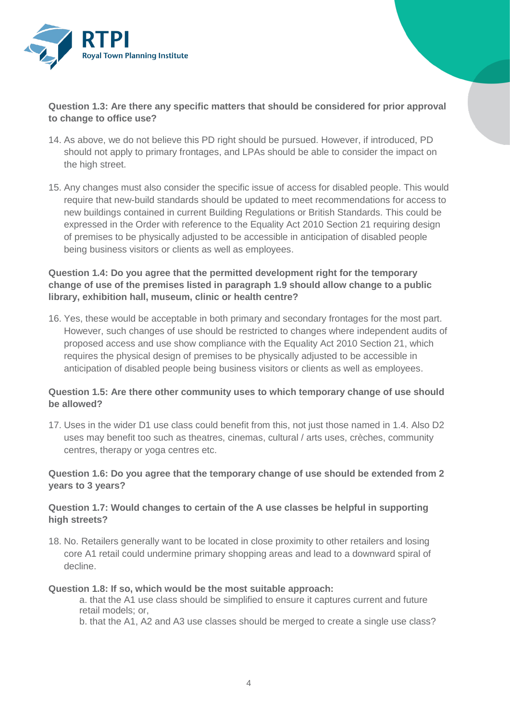

# **Question 1.3: Are there any specific matters that should be considered for prior approval to change to office use?**

- 14. As above, we do not believe this PD right should be pursued. However, if introduced, PD should not apply to primary frontages, and LPAs should be able to consider the impact on the high street.
- 15. Any changes must also consider the specific issue of access for disabled people. This would require that new-build standards should be updated to meet recommendations for access to new buildings contained in current Building Regulations or British Standards. This could be expressed in the Order with reference to the Equality Act 2010 Section 21 requiring design of premises to be physically adjusted to be accessible in anticipation of disabled people being business visitors or clients as well as employees.

# **Question 1.4: Do you agree that the permitted development right for the temporary change of use of the premises listed in paragraph 1.9 should allow change to a public library, exhibition hall, museum, clinic or health centre?**

16. Yes, these would be acceptable in both primary and secondary frontages for the most part. However, such changes of use should be restricted to changes where independent audits of proposed access and use show compliance with the Equality Act 2010 Section 21, which requires the physical design of premises to be physically adjusted to be accessible in anticipation of disabled people being business visitors or clients as well as employees.

# **Question 1.5: Are there other community uses to which temporary change of use should be allowed?**

17. Uses in the wider D1 use class could benefit from this, not just those named in 1.4. Also D2 uses may benefit too such as theatres, cinemas, cultural / arts uses, crèches, community centres, therapy or yoga centres etc.

### **Question 1.6: Do you agree that the temporary change of use should be extended from 2 years to 3 years?**

### **Question 1.7: Would changes to certain of the A use classes be helpful in supporting high streets?**

18. No. Retailers generally want to be located in close proximity to other retailers and losing core A1 retail could undermine primary shopping areas and lead to a downward spiral of decline.

#### **Question 1.8: If so, which would be the most suitable approach:**

a. that the A1 use class should be simplified to ensure it captures current and future retail models; or,

b. that the A1, A2 and A3 use classes should be merged to create a single use class?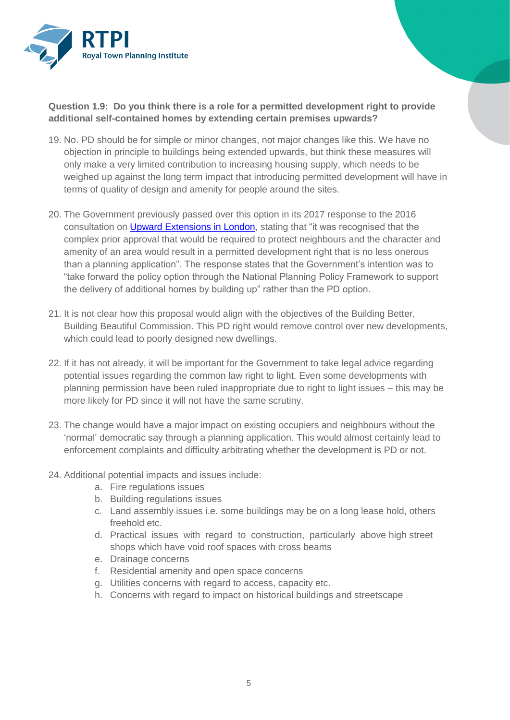

# **Question 1.9: Do you think there is a role for a permitted development right to provide additional self-contained homes by extending certain premises upwards?**

- 19. No. PD should be for simple or minor changes, not major changes like this. We have no objection in principle to buildings being extended upwards, but think these measures will only make a very limited contribution to increasing housing supply, which needs to be weighed up against the long term impact that introducing permitted development will have in terms of quality of design and amenity for people around the sites.
- 20. The Government previously passed over this option in its 2017 response to the 2016 consultation on [Upward Extensions in London,](https://www.gov.uk/government/consultations/upward-extensions-in-london) stating that "it was recognised that the complex prior approval that would be required to protect neighbours and the character and amenity of an area would result in a permitted development right that is no less onerous than a planning application". The response states that the Government's intention was to "take forward the policy option through the National Planning Policy Framework to support the delivery of additional homes by building up" rather than the PD option.
- 21. It is not clear how this proposal would align with the objectives of the Building Better, Building Beautiful Commission. This PD right would remove control over new developments, which could lead to poorly designed new dwellings.
- 22. If it has not already, it will be important for the Government to take legal advice regarding potential issues regarding the common law right to light. Even some developments with planning permission have been ruled inappropriate due to right to light issues – this may be more likely for PD since it will not have the same scrutiny.
- 23. The change would have a major impact on existing occupiers and neighbours without the 'normal' democratic say through a planning application. This would almost certainly lead to enforcement complaints and difficulty arbitrating whether the development is PD or not.
- 24. Additional potential impacts and issues include:
	- a. Fire regulations issues
	- b. Building regulations issues
	- c. Land assembly issues i.e. some buildings may be on a long lease hold, others freehold etc.
	- d. Practical issues with regard to construction, particularly above high street shops which have void roof spaces with cross beams
	- e. Drainage concerns
	- f. Residential amenity and open space concerns
	- g. Utilities concerns with regard to access, capacity etc.
	- h. Concerns with regard to impact on historical buildings and streetscape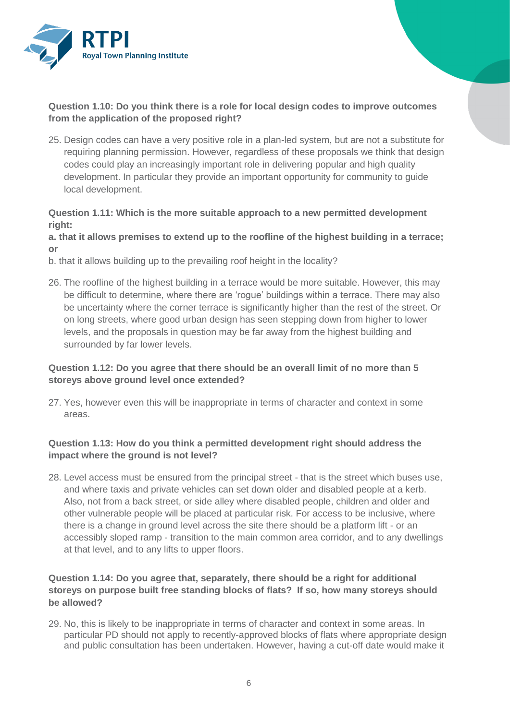

# **Question 1.10: Do you think there is a role for local design codes to improve outcomes from the application of the proposed right?**

25. Design codes can have a very positive role in a plan-led system, but are not a substitute for requiring planning permission. However, regardless of these proposals we think that design codes could play an increasingly important role in delivering popular and high quality development. In particular they provide an important opportunity for community to guide local development.

## **Question 1.11: Which is the more suitable approach to a new permitted development right:**

#### **a. that it allows premises to extend up to the roofline of the highest building in a terrace; or**

- b. that it allows building up to the prevailing roof height in the locality?
- 26. The roofline of the highest building in a terrace would be more suitable. However, this may be difficult to determine, where there are 'rogue' buildings within a terrace. There may also be uncertainty where the corner terrace is significantly higher than the rest of the street. Or on long streets, where good urban design has seen stepping down from higher to lower levels, and the proposals in question may be far away from the highest building and surrounded by far lower levels.

# **Question 1.12: Do you agree that there should be an overall limit of no more than 5 storeys above ground level once extended?**

27. Yes, however even this will be inappropriate in terms of character and context in some areas.

# **Question 1.13: How do you think a permitted development right should address the impact where the ground is not level?**

28. Level access must be ensured from the principal street - that is the street which buses use, and where taxis and private vehicles can set down older and disabled people at a kerb. Also, not from a back street, or side alley where disabled people, children and older and other vulnerable people will be placed at particular risk. For access to be inclusive, where there is a change in ground level across the site there should be a platform lift - or an accessibly sloped ramp - transition to the main common area corridor, and to any dwellings at that level, and to any lifts to upper floors.

# **Question 1.14: Do you agree that, separately, there should be a right for additional storeys on purpose built free standing blocks of flats? If so, how many storeys should be allowed?**

29. No, this is likely to be inappropriate in terms of character and context in some areas. In particular PD should not apply to recently-approved blocks of flats where appropriate design and public consultation has been undertaken. However, having a cut-off date would make it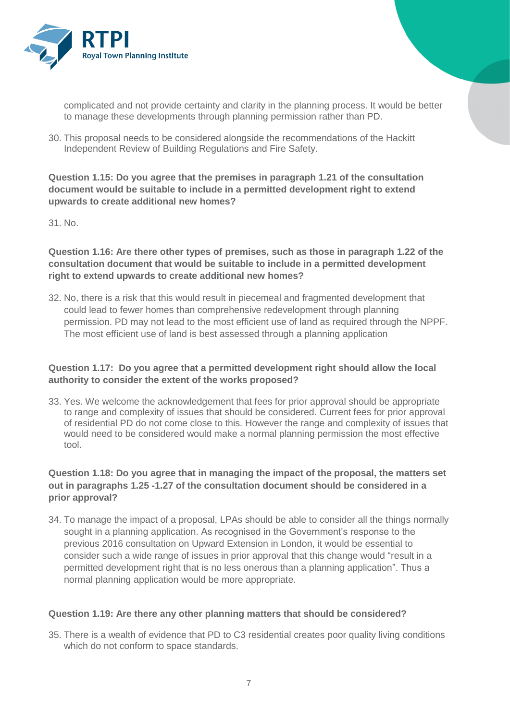

complicated and not provide certainty and clarity in the planning process. It would be better to manage these developments through planning permission rather than PD.

30. This proposal needs to be considered alongside the recommendations of the Hackitt Independent Review of Building Regulations and Fire Safety.

**Question 1.15: Do you agree that the premises in paragraph 1.21 of the consultation document would be suitable to include in a permitted development right to extend upwards to create additional new homes?** 

31. No.

**Question 1.16: Are there other types of premises, such as those in paragraph 1.22 of the consultation document that would be suitable to include in a permitted development right to extend upwards to create additional new homes?**

32. No, there is a risk that this would result in piecemeal and fragmented development that could lead to fewer homes than comprehensive redevelopment through planning permission. PD may not lead to the most efficient use of land as required through the NPPF. The most efficient use of land is best assessed through a planning application

# **Question 1.17: Do you agree that a permitted development right should allow the local authority to consider the extent of the works proposed?**

33. Yes. We welcome the acknowledgement that fees for prior approval should be appropriate to range and complexity of issues that should be considered. Current fees for prior approval of residential PD do not come close to this. However the range and complexity of issues that would need to be considered would make a normal planning permission the most effective tool.

# **Question 1.18: Do you agree that in managing the impact of the proposal, the matters set out in paragraphs 1.25 -1.27 of the consultation document should be considered in a prior approval?**

34. To manage the impact of a proposal, LPAs should be able to consider all the things normally sought in a planning application. As recognised in the Government's response to the previous 2016 consultation on Upward Extension in London, it would be essential to consider such a wide range of issues in prior approval that this change would "result in a permitted development right that is no less onerous than a planning application". Thus a normal planning application would be more appropriate.

# **Question 1.19: Are there any other planning matters that should be considered?**

35. There is a wealth of evidence that PD to C3 residential creates poor quality living conditions which do not conform to space standards.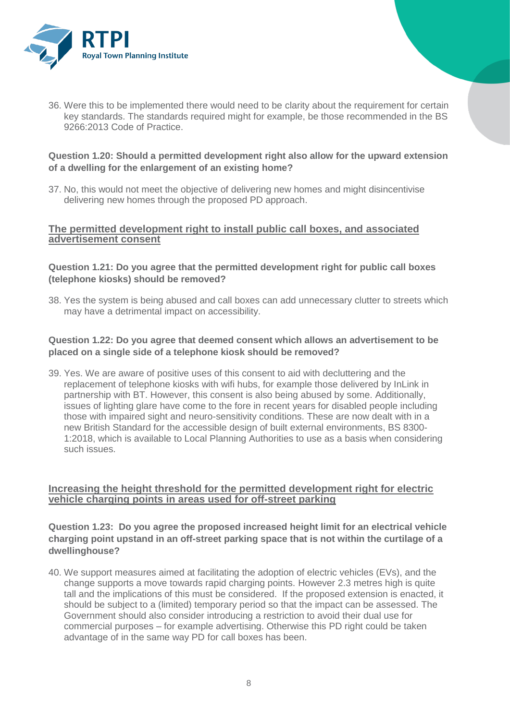

36. Were this to be implemented there would need to be clarity about the requirement for certain key standards. The standards required might for example, be those recommended in the BS 9266:2013 Code of Practice.

### **Question 1.20: Should a permitted development right also allow for the upward extension of a dwelling for the enlargement of an existing home?**

37. No, this would not meet the objective of delivering new homes and might disincentivise delivering new homes through the proposed PD approach.

#### **The permitted development right to install public call boxes, and associated advertisement consent**

#### **Question 1.21: Do you agree that the permitted development right for public call boxes (telephone kiosks) should be removed?**

38. Yes the system is being abused and call boxes can add unnecessary clutter to streets which may have a detrimental impact on accessibility.

### **Question 1.22: Do you agree that deemed consent which allows an advertisement to be placed on a single side of a telephone kiosk should be removed?**

39. Yes. We are aware of positive uses of this consent to aid with decluttering and the replacement of telephone kiosks with wifi hubs, for example those delivered by InLink in partnership with BT. However, this consent is also being abused by some. Additionally, issues of lighting glare have come to the fore in recent years for disabled people including those with impaired sight and neuro-sensitivity conditions. These are now dealt with in a new British Standard for the accessible design of built external environments, BS 8300- 1:2018, which is available to Local Planning Authorities to use as a basis when considering such issues.

#### **Increasing the height threshold for the permitted development right for electric vehicle charging points in areas used for off-street parking**

#### **Question 1.23: Do you agree the proposed increased height limit for an electrical vehicle charging point upstand in an off-street parking space that is not within the curtilage of a dwellinghouse?**

40. We support measures aimed at facilitating the adoption of electric vehicles (EVs), and the change supports a move towards rapid charging points. However 2.3 metres high is quite tall and the implications of this must be considered. If the proposed extension is enacted, it should be subject to a (limited) temporary period so that the impact can be assessed. The Government should also consider introducing a restriction to avoid their dual use for commercial purposes – for example advertising. Otherwise this PD right could be taken advantage of in the same way PD for call boxes has been.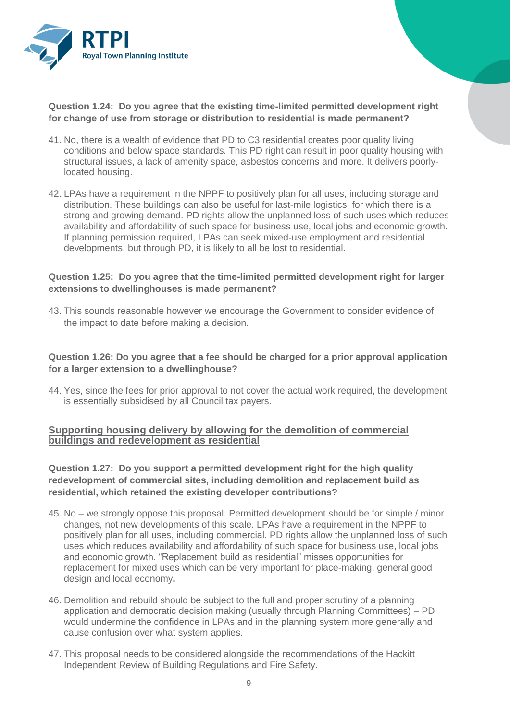

**Question 1.24: Do you agree that the existing time-limited permitted development right for change of use from storage or distribution to residential is made permanent?** 

- 41. No, there is a wealth of evidence that PD to C3 residential creates poor quality living conditions and below space standards. This PD right can result in poor quality housing with structural issues, a lack of amenity space, asbestos concerns and more. It delivers poorlylocated housing.
- 42. LPAs have a requirement in the NPPF to positively plan for all uses, including storage and distribution. These buildings can also be useful for last-mile logistics, for which there is a strong and growing demand. PD rights allow the unplanned loss of such uses which reduces availability and affordability of such space for business use, local jobs and economic growth. If planning permission required, LPAs can seek mixed-use employment and residential developments, but through PD, it is likely to all be lost to residential.

#### **Question 1.25: Do you agree that the time-limited permitted development right for larger extensions to dwellinghouses is made permanent?**

43. This sounds reasonable however we encourage the Government to consider evidence of the impact to date before making a decision.

#### **Question 1.26: Do you agree that a fee should be charged for a prior approval application for a larger extension to a dwellinghouse?**

44. Yes, since the fees for prior approval to not cover the actual work required, the development is essentially subsidised by all Council tax payers.

### **Supporting housing delivery by allowing for the demolition of commercial buildings and redevelopment as residential**

## **Question 1.27: Do you support a permitted development right for the high quality redevelopment of commercial sites, including demolition and replacement build as residential, which retained the existing developer contributions?**

- 45. No we strongly oppose this proposal. Permitted development should be for simple / minor changes, not new developments of this scale. LPAs have a requirement in the NPPF to positively plan for all uses, including commercial. PD rights allow the unplanned loss of such uses which reduces availability and affordability of such space for business use, local jobs and economic growth. "Replacement build as residential" misses opportunities for replacement for mixed uses which can be very important for place-making, general good design and local economy**.**
- 46. Demolition and rebuild should be subject to the full and proper scrutiny of a planning application and democratic decision making (usually through Planning Committees) – PD would undermine the confidence in LPAs and in the planning system more generally and cause confusion over what system applies.
- 47. This proposal needs to be considered alongside the recommendations of the Hackitt Independent Review of Building Regulations and Fire Safety.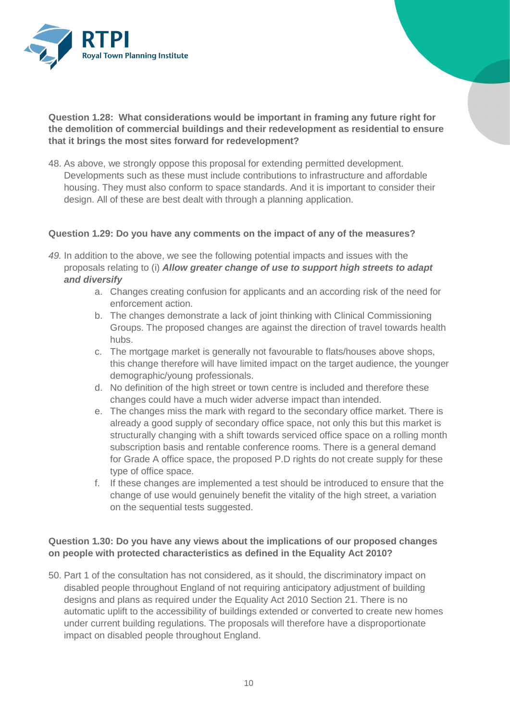

**Question 1.28: What considerations would be important in framing any future right for the demolition of commercial buildings and their redevelopment as residential to ensure that it brings the most sites forward for redevelopment?**

48. As above, we strongly oppose this proposal for extending permitted development. Developments such as these must include contributions to infrastructure and affordable housing. They must also conform to space standards. And it is important to consider their design. All of these are best dealt with through a planning application.

#### **Question 1.29: Do you have any comments on the impact of any of the measures?**

- *49.* In addition to the above, we see the following potential impacts and issues with the proposals relating to (i) *Allow greater change of use to support high streets to adapt and diversify*
	- a. Changes creating confusion for applicants and an according risk of the need for enforcement action.
	- b. The changes demonstrate a lack of joint thinking with Clinical Commissioning Groups. The proposed changes are against the direction of travel towards health hubs.
	- c. The mortgage market is generally not favourable to flats/houses above shops, this change therefore will have limited impact on the target audience, the younger demographic/young professionals.
	- d. No definition of the high street or town centre is included and therefore these changes could have a much wider adverse impact than intended.
	- e. The changes miss the mark with regard to the secondary office market. There is already a good supply of secondary office space, not only this but this market is structurally changing with a shift towards serviced office space on a rolling month subscription basis and rentable conference rooms. There is a general demand for Grade A office space, the proposed P.D rights do not create supply for these type of office space.
	- f. If these changes are implemented a test should be introduced to ensure that the change of use would genuinely benefit the vitality of the high street, a variation on the sequential tests suggested.

# **Question 1.30: Do you have any views about the implications of our proposed changes on people with protected characteristics as defined in the Equality Act 2010?**

50. Part 1 of the consultation has not considered, as it should, the discriminatory impact on disabled people throughout England of not requiring anticipatory adjustment of building designs and plans as required under the Equality Act 2010 Section 21. There is no automatic uplift to the accessibility of buildings extended or converted to create new homes under current building regulations. The proposals will therefore have a disproportionate impact on disabled people throughout England.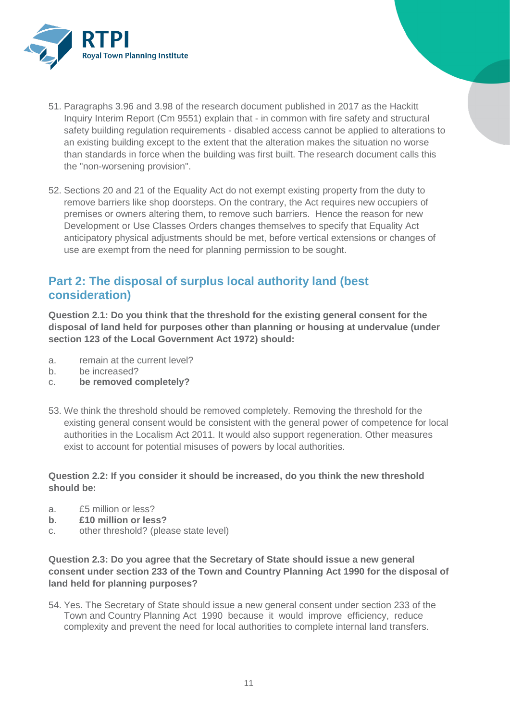

- 51. Paragraphs 3.96 and 3.98 of the research document published in 2017 as the Hackitt Inquiry Interim Report (Cm 9551) explain that - in common with fire safety and structural safety building regulation requirements - disabled access cannot be applied to alterations to an existing building except to the extent that the alteration makes the situation no worse than standards in force when the building was first built. The research document calls this the "non-worsening provision".
- 52. Sections 20 and 21 of the Equality Act do not exempt existing property from the duty to remove barriers like shop doorsteps. On the contrary, the Act requires new occupiers of premises or owners altering them, to remove such barriers. Hence the reason for new Development or Use Classes Orders changes themselves to specify that Equality Act anticipatory physical adjustments should be met, before vertical extensions or changes of use are exempt from the need for planning permission to be sought.

# **Part 2: The disposal of surplus local authority land (best consideration)**

**Question 2.1: Do you think that the threshold for the existing general consent for the disposal of land held for purposes other than planning or housing at undervalue (under section 123 of the Local Government Act 1972) should:**

- a. remain at the current level?
- b. be increased?
- c. **be removed completely?**
- 53. We think the threshold should be removed completely. Removing the threshold for the existing general consent would be consistent with the general power of competence for local authorities in the Localism Act 2011. It would also support regeneration. Other measures exist to account for potential misuses of powers by local authorities.

# **Question 2.2: If you consider it should be increased, do you think the new threshold should be:**

- a. £5 million or less?
- **b. £10 million or less?**
- c. other threshold? (please state level)

**Question 2.3: Do you agree that the Secretary of State should issue a new general consent under section 233 of the Town and Country Planning Act 1990 for the disposal of land held for planning purposes?** 

54. Yes. The Secretary of State should issue a new general consent under section 233 of the Town and Country Planning Act 1990 because it would improve efficiency, reduce complexity and prevent the need for local authorities to complete internal land transfers.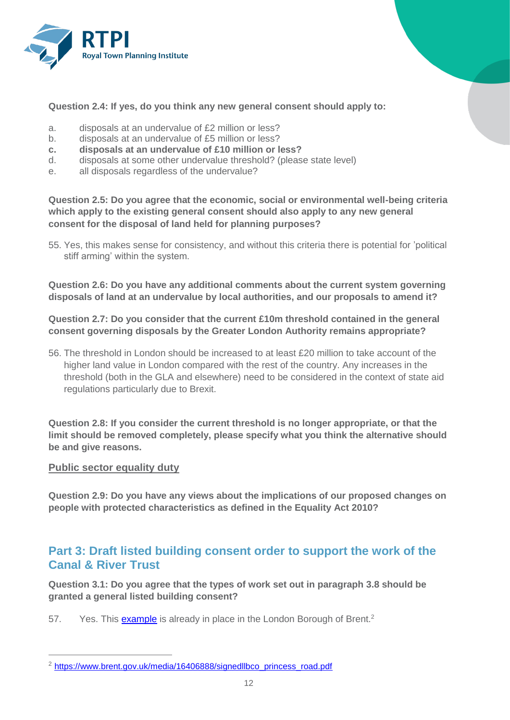

**Question 2.4: If yes, do you think any new general consent should apply to:**

- a. disposals at an undervalue of £2 million or less?
- b. disposals at an undervalue of £5 million or less?
- **c. disposals at an undervalue of £10 million or less?**
- d. disposals at some other undervalue threshold? (please state level)
- e. all disposals regardless of the undervalue?

**Question 2.5: Do you agree that the economic, social or environmental well-being criteria which apply to the existing general consent should also apply to any new general consent for the disposal of land held for planning purposes?**

55. Yes, this makes sense for consistency, and without this criteria there is potential for 'political stiff arming' within the system.

**Question 2.6: Do you have any additional comments about the current system governing disposals of land at an undervalue by local authorities, and our proposals to amend it?** 

**Question 2.7: Do you consider that the current £10m threshold contained in the general consent governing disposals by the Greater London Authority remains appropriate?** 

56. The threshold in London should be increased to at least £20 million to take account of the higher land value in London compared with the rest of the country. Any increases in the threshold (both in the GLA and elsewhere) need to be considered in the context of state aid regulations particularly due to Brexit.

**Question 2.8: If you consider the current threshold is no longer appropriate, or that the limit should be removed completely, please specify what you think the alternative should be and give reasons.**

#### **Public sector equality duty**

 $\overline{a}$ 

**Question 2.9: Do you have any views about the implications of our proposed changes on people with protected characteristics as defined in the Equality Act 2010?** 

# **Part 3: Draft listed building consent order to support the work of the Canal & River Trust**

**Question 3.1: Do you agree that the types of work set out in paragraph 3.8 should be granted a general listed building consent?** 

57. Yes. This [example](https://secure-web.cisco.com/1wwpAkW6feoDsqVpX7pPRB4stXeXwCIqqBK8pPnPqRkp_3POCrl2FxMVrksGMCz5EiPJos4SmPYZGWAclQVt2PeZnXNX_299AKM_0nDBQxl1rg61rysQVSKjJ1V5r0v6mA-tb4t7RYAav4yltroMjZYHiFV3T7ds-SXZSof0TeA2XMjZZqlYkdQ1jK6nyMYYBut5L_kEtSZsi-4XOX90MBVbrMV17dxOKz3aqBJvCnnx2qlSPEGLwPWie5ypdtiws86aEE19RafzVQbBV-FpufR1zgqDKn6wck70I_lJ2EyjlhxNFDZrCn2Mz5WDt1YdrAJI-4z3e9jfCRDHsESivsA/https%3A%2F%2Fwww.brent.gov.uk%2Fmedia%2F16406888%2Fsignedllbco_princess_road.pdf) is already in place in the London Borough of Brent.<sup>2</sup>

<sup>&</sup>lt;sup>2</sup> [https://www.brent.gov.uk/media/16406888/signedllbco\\_princess\\_road.pdf](https://secure-web.cisco.com/1wwpAkW6feoDsqVpX7pPRB4stXeXwCIqqBK8pPnPqRkp_3POCrl2FxMVrksGMCz5EiPJos4SmPYZGWAclQVt2PeZnXNX_299AKM_0nDBQxl1rg61rysQVSKjJ1V5r0v6mA-tb4t7RYAav4yltroMjZYHiFV3T7ds-SXZSof0TeA2XMjZZqlYkdQ1jK6nyMYYBut5L_kEtSZsi-4XOX90MBVbrMV17dxOKz3aqBJvCnnx2qlSPEGLwPWie5ypdtiws86aEE19RafzVQbBV-FpufR1zgqDKn6wck70I_lJ2EyjlhxNFDZrCn2Mz5WDt1YdrAJI-4z3e9jfCRDHsESivsA/https%3A%2F%2Fwww.brent.gov.uk%2Fmedia%2F16406888%2Fsignedllbco_princess_road.pdf)